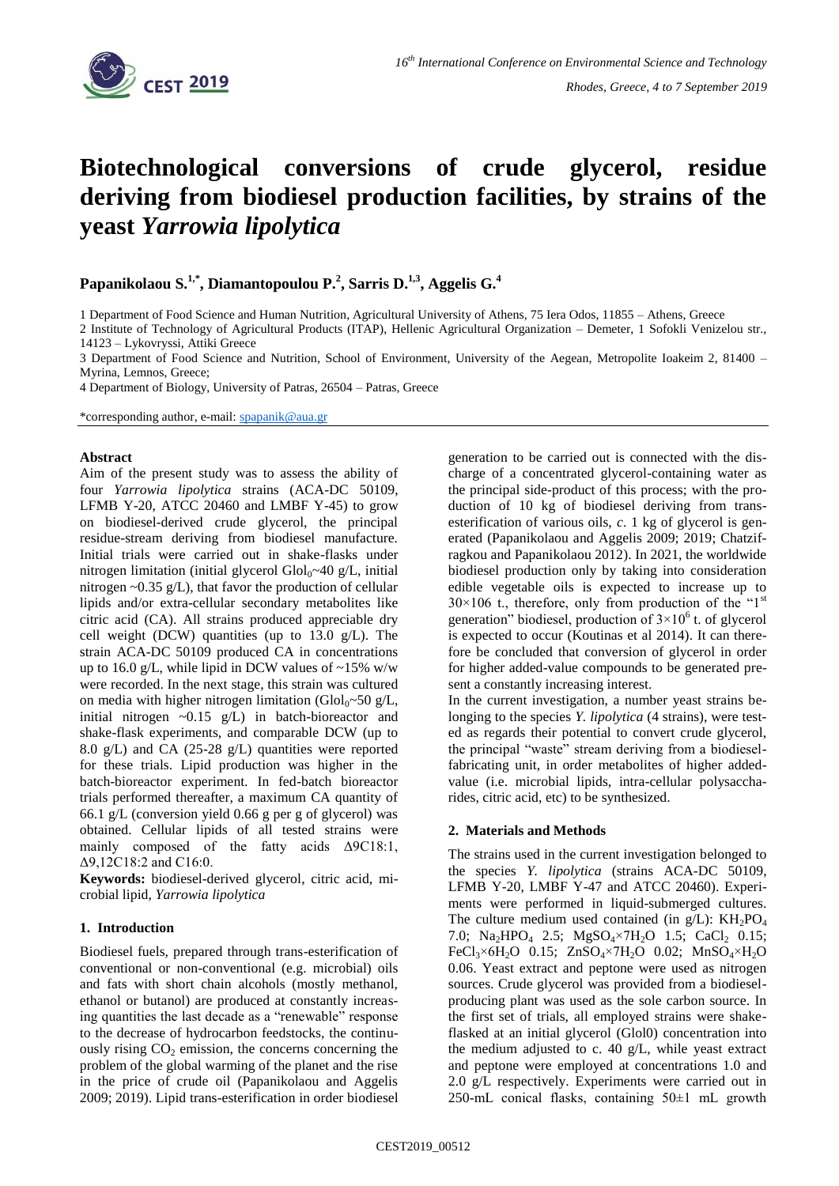

# **Biotechnological conversions of crude glycerol, residue deriving from biodiesel production facilities, by strains of the yeast** *Yarrowia lipolytica*

**Papanikolaou S.1,\* , Diamantopoulou P.<sup>2</sup> , Sarris D.1,3 , Aggelis G.<sup>4</sup>**

1 Department of Food Science and Human Nutrition, Agricultural University of Athens, 75 Iera Odos, 11855 – Athens, Greece

2 Institute of Technology of Agricultural Products (ITAP), Hellenic Agricultural Organization – Demeter, 1 Sofokli Venizelou str., 14123 – Lykovryssi, Attiki Greece

3 Department of Food Science and Nutrition, School of Environment, University of the Aegean, Metropolite Ioakeim 2, 81400 – Myrina, Lemnos, Greece;

4 Department of Biology, University of Patras, 26504 – Patras, Greece

\*corresponding author, e-mail: [spapanik@aua.gr](mailto:spapanik@aua.gr)

## **Abstract**

Aim of the present study was to assess the ability of four *Yarrowia lipolytica* strains (ACA-DC 50109, LFMB Y-20, ATCC 20460 and LMBF Y-45) to grow on biodiesel-derived crude glycerol, the principal residue-stream deriving from biodiesel manufacture. Initial trials were carried out in shake-flasks under nitrogen limitation (initial glycerol  $Glol<sub>0</sub>~40 g/L$ , initial nitrogen  $\sim 0.35$  g/L), that favor the production of cellular lipids and/or extra-cellular secondary metabolites like citric acid (CA). All strains produced appreciable dry cell weight (DCW) quantities (up to  $13.0 \text{ g/L}$ ). The strain ACA-DC 50109 produced CA in concentrations up to 16.0 g/L, while lipid in DCW values of  $\sim$ 15% w/w were recorded. In the next stage, this strain was cultured on media with higher nitrogen limitation (Glol $_0$ ~50 g/L, initial nitrogen  $\sim 0.15$  g/L) in batch-bioreactor and shake-flask experiments, and comparable DCW (up to 8.0 g/L) and CA (25-28 g/L) quantities were reported for these trials. Lipid production was higher in the batch-bioreactor experiment. In fed-batch bioreactor trials performed thereafter, a maximum CA quantity of 66.1 g/L (conversion yield 0.66 g per g of glycerol) was obtained. Cellular lipids of all tested strains were mainly composed of the fatty acids Δ9C18:1, Δ9,12C18:2 and C16:0.

**Keywords:** biodiesel-derived glycerol, citric acid, microbial lipid, *Yarrowia lipolytica*

# **1. Introduction**

Biodiesel fuels, prepared through trans-esterification of conventional or non-conventional (e.g. microbial) oils and fats with short chain alcohols (mostly methanol, ethanol or butanol) are produced at constantly increasing quantities the last decade as a "renewable" response to the decrease of hydrocarbon feedstocks, the continuously rising  $CO<sub>2</sub>$  emission, the concerns concerning the problem of the global warming of the planet and the rise in the price of crude oil (Papanikolaou and Aggelis 2009; 2019). Lipid trans-esterification in order biodiesel

generation to be carried out is connected with the discharge of a concentrated glycerol-containing water as the principal side-product of this process; with the production of 10 kg of biodiesel deriving from transesterification of various oils, *c*. 1 kg of glycerol is generated (Papanikolaou and Aggelis 2009; 2019; Chatzifragkou and Papanikolaou 2012). In 2021, the worldwide biodiesel production only by taking into consideration edible vegetable oils is expected to increase up to  $30\times106$  t., therefore, only from production of the "1<sup>st</sup> generation" biodiesel, production of  $3 \times 10^6$  t. of glycerol is expected to occur (Koutinas et al 2014). It can therefore be concluded that conversion of glycerol in order for higher added-value compounds to be generated present a constantly increasing interest.

In the current investigation, a number yeast strains belonging to the species *Y. lipolytica* (4 strains), were tested as regards their potential to convert crude glycerol, the principal "waste" stream deriving from a biodieselfabricating unit, in order metabolites of higher addedvalue (i.e. microbial lipids, intra-cellular polysaccharides, citric acid, etc) to be synthesized.

# **2. Materials and Methods**

The strains used in the current investigation belonged to the species *Y. lipolytica* (strains ACA-DC 50109, LFMB Y-20, LMBF Y-47 and ATCC 20460). Experiments were performed in liquid-submerged cultures. The culture medium used contained (in  $g/L$ ):  $KH_2PO_4$ 7.0; Na<sub>2</sub>HPO<sub>4</sub> 2.5; MgSO<sub>4</sub>×7H<sub>2</sub>O 1.5; CaCl<sub>2</sub> 0.15; FeCl<sub>3</sub>×6H<sub>2</sub>O 0.15; ZnSO<sub>4</sub>×7H<sub>2</sub>O 0.02; MnSO<sub>4</sub>×H<sub>2</sub>O 0.06. Yeast extract and peptone were used as nitrogen sources. Crude glycerol was provided from a biodieselproducing plant was used as the sole carbon source. In the first set of trials, all employed strains were shakeflasked at an initial glycerol (Glol0) concentration into the medium adjusted to c. 40 g/L, while yeast extract and peptone were employed at concentrations 1.0 and 2.0 g/L respectively. Experiments were carried out in 250-mL conical flasks, containing 50±1 mL growth